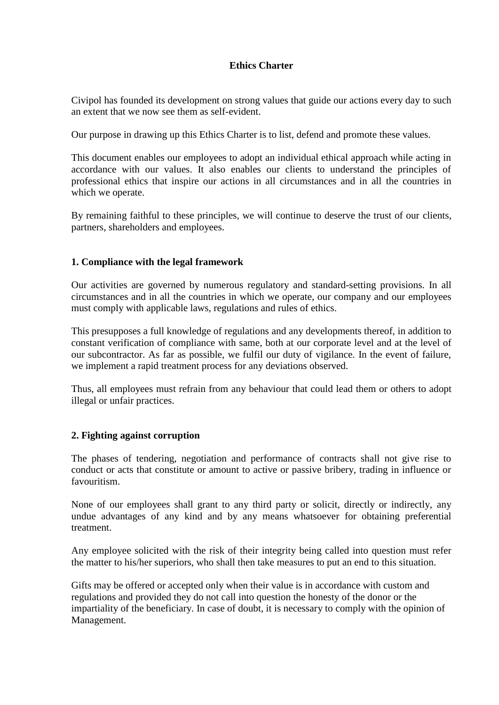### **Ethics Charter**

Civipol has founded its development on strong values that guide our actions every day to such an extent that we now see them as self-evident.

Our purpose in drawing up this Ethics Charter is to list, defend and promote these values.

This document enables our employees to adopt an individual ethical approach while acting in accordance with our values. It also enables our clients to understand the principles of professional ethics that inspire our actions in all circumstances and in all the countries in which we operate.

By remaining faithful to these principles, we will continue to deserve the trust of our clients, partners, shareholders and employees.

# **1. Compliance with the legal framework**

Our activities are governed by numerous regulatory and standard-setting provisions. In all circumstances and in all the countries in which we operate, our company and our employees must comply with applicable laws, regulations and rules of ethics.

This presupposes a full knowledge of regulations and any developments thereof, in addition to constant verification of compliance with same, both at our corporate level and at the level of our subcontractor. As far as possible, we fulfil our duty of vigilance. In the event of failure, we implement a rapid treatment process for any deviations observed.

Thus, all employees must refrain from any behaviour that could lead them or others to adopt illegal or unfair practices.

#### **2. Fighting against corruption**

The phases of tendering, negotiation and performance of contracts shall not give rise to conduct or acts that constitute or amount to active or passive bribery, trading in influence or favouritism.

None of our employees shall grant to any third party or solicit, directly or indirectly, any undue advantages of any kind and by any means whatsoever for obtaining preferential treatment.

Any employee solicited with the risk of their integrity being called into question must refer the matter to his/her superiors, who shall then take measures to put an end to this situation.

Gifts may be offered or accepted only when their value is in accordance with custom and regulations and provided they do not call into question the honesty of the donor or the impartiality of the beneficiary. In case of doubt, it is necessary to comply with the opinion of Management.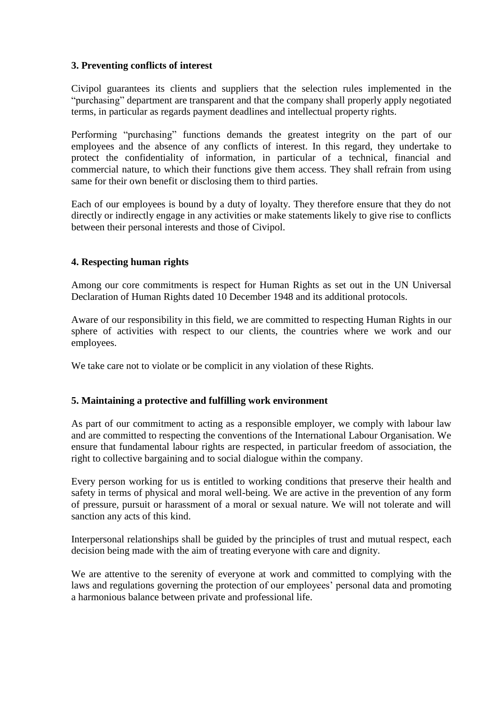### **3. Preventing conflicts of interest**

Civipol guarantees its clients and suppliers that the selection rules implemented in the "purchasing" department are transparent and that the company shall properly apply negotiated terms, in particular as regards payment deadlines and intellectual property rights.

Performing "purchasing" functions demands the greatest integrity on the part of our employees and the absence of any conflicts of interest. In this regard, they undertake to protect the confidentiality of information, in particular of a technical, financial and commercial nature, to which their functions give them access. They shall refrain from using same for their own benefit or disclosing them to third parties.

Each of our employees is bound by a duty of loyalty. They therefore ensure that they do not directly or indirectly engage in any activities or make statements likely to give rise to conflicts between their personal interests and those of Civipol.

# **4. Respecting human rights**

Among our core commitments is respect for Human Rights as set out in the UN Universal Declaration of Human Rights dated 10 December 1948 and its additional protocols.

Aware of our responsibility in this field, we are committed to respecting Human Rights in our sphere of activities with respect to our clients, the countries where we work and our employees.

We take care not to violate or be complicit in any violation of these Rights.

# **5. Maintaining a protective and fulfilling work environment**

As part of our commitment to acting as a responsible employer, we comply with labour law and are committed to respecting the conventions of the International Labour Organisation. We ensure that fundamental labour rights are respected, in particular freedom of association, the right to collective bargaining and to social dialogue within the company.

Every person working for us is entitled to working conditions that preserve their health and safety in terms of physical and moral well-being. We are active in the prevention of any form of pressure, pursuit or harassment of a moral or sexual nature. We will not tolerate and will sanction any acts of this kind.

Interpersonal relationships shall be guided by the principles of trust and mutual respect, each decision being made with the aim of treating everyone with care and dignity.

We are attentive to the serenity of everyone at work and committed to complying with the laws and regulations governing the protection of our employees' personal data and promoting a harmonious balance between private and professional life.